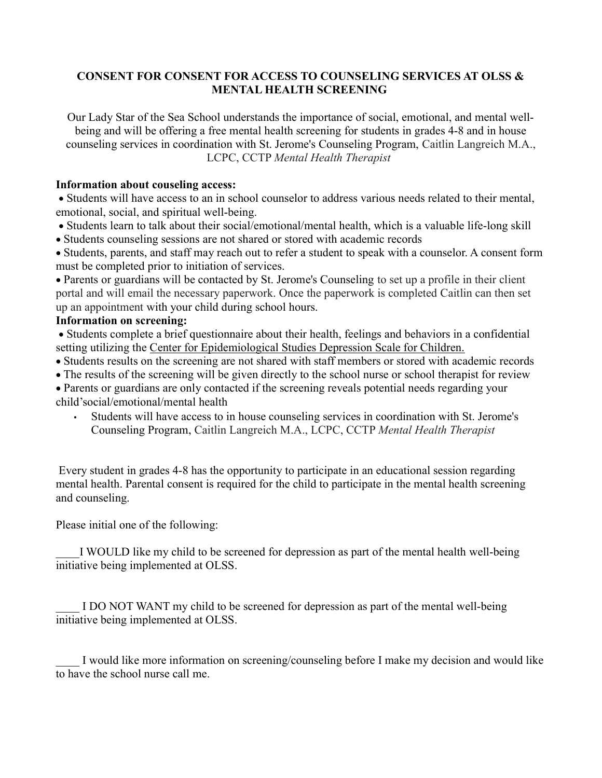## CONSENT FOR CONSENT FOR ACCESS TO COUNSELING SERVICES AT OLSS & MENTAL HEALTH SCREENING

Our Lady Star of the Sea School understands the importance of social, emotional, and mental wellbeing and will be offering a free mental health screening for students in grades 4-8 and in house counseling services in coordination with St. Jerome's Counseling Program, Caitlin Langreich M.A., LCPC, CCTP Mental Health Therapist

## Information about couseling access:

 Students will have access to an in school counselor to address various needs related to their mental, emotional, social, and spiritual well-being.

- Students learn to talk about their social/emotional/mental health, which is a valuable life-long skill
- Students counseling sessions are not shared or stored with academic records

 Students, parents, and staff may reach out to refer a student to speak with a counselor. A consent form must be completed prior to initiation of services.

 Parents or guardians will be contacted by St. Jerome's Counseling to set up a profile in their client portal and will email the necessary paperwork. Once the paperwork is completed Caitlin can then set up an appointment with your child during school hours.

## Information on screening:

 Students complete a brief questionnaire about their health, feelings and behaviors in a confidential setting utilizing the Center for Epidemiological Studies Depression Scale for Children.

- Students results on the screening are not shared with staff members or stored with academic records
- The results of the screening will be given directly to the school nurse or school therapist for review

 Parents or guardians are only contacted if the screening reveals potential needs regarding your child'social/emotional/mental health

• Students will have access to in house counseling services in coordination with St. Jerome's Counseling Program, Caitlin Langreich M.A., LCPC, CCTP Mental Health Therapist

 Every student in grades 4-8 has the opportunity to participate in an educational session regarding mental health. Parental consent is required for the child to participate in the mental health screening and counseling.

Please initial one of the following:

I WOULD like my child to be screened for depression as part of the mental health well-being initiative being implemented at OLSS.

I DO NOT WANT my child to be screened for depression as part of the mental well-being initiative being implemented at OLSS.

I would like more information on screening/counseling before I make my decision and would like to have the school nurse call me.